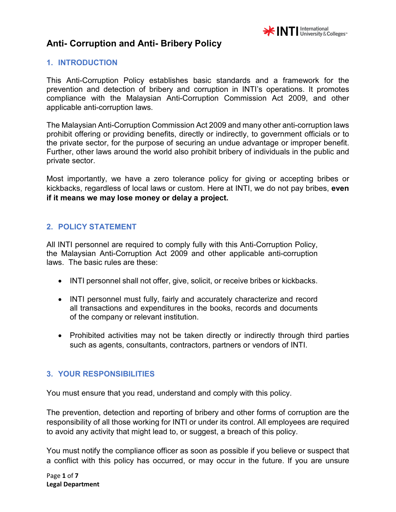

#### **1. INTRODUCTION**

This Anti-Corruption Policy establishes basic standards and a framework for the prevention and detection of bribery and corruption in INTI's operations. It promotes compliance with the Malaysian Anti-Corruption Commission Act 2009, and other applicable anti-corruption laws.

The Malaysian Anti-Corruption Commission Act 2009 and many other anti-corruption laws prohibit offering or providing benefits, directly or indirectly, to government officials or to the private sector, for the purpose of securing an undue advantage or improper benefit. Further, other laws around the world also prohibit bribery of individuals in the public and private sector.

Most importantly, we have a zero tolerance policy for giving or accepting bribes or kickbacks, regardless of local laws or custom. Here at INTI, we do not pay bribes, **even if it means we may lose money or delay a project.** 

#### **2. POLICY STATEMENT**

All INTI personnel are required to comply fully with this Anti-Corruption Policy, the Malaysian Anti-Corruption Act 2009 and other applicable anti-corruption laws. The basic rules are these:

- INTI personnel shall not offer, give, solicit, or receive bribes or kickbacks.
- INTI personnel must fully, fairly and accurately characterize and record all transactions and expenditures in the books, records and documents of the company or relevant institution.
- Prohibited activities may not be taken directly or indirectly through third parties such as agents, consultants, contractors, partners or vendors of INTI.

#### **3. YOUR RESPONSIBILITIES**

You must ensure that you read, understand and comply with this policy.

The prevention, detection and reporting of bribery and other forms of corruption are the responsibility of all those working for INTI or under its control. All employees are required to avoid any activity that might lead to, or suggest, a breach of this policy.

You must notify the compliance officer as soon as possible if you believe or suspect that a conflict with this policy has occurred, or may occur in the future. If you are unsure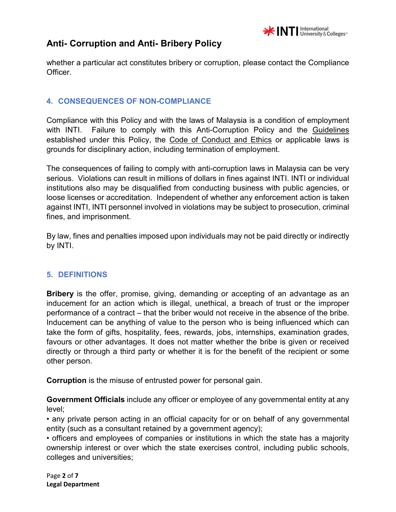

whether a particular act constitutes bribery or corruption, please contact the Compliance Officer.

## **4. CONSEQUENCES OF NON-COMPLIANCE**

Compliance with this Policy and with the laws of Malaysia is a condition of employment with INTI. Failure to comply with this Anti-Corruption Policy and the Guidelines established under this Policy, the Code of Conduct and Ethics or applicable laws is grounds for disciplinary action, including termination of employment.

The consequences of failing to comply with anti-corruption laws in Malaysia can be very serious. Violations can result in millions of dollars in fines against INTI. INTI or individual institutions also may be disqualified from conducting business with public agencies, or loose licenses or accreditation. Independent of whether any enforcement action is taken against INTI, INTI personnel involved in violations may be subject to prosecution, criminal fines, and imprisonment.

By law, fines and penalties imposed upon individuals may not be paid directly or indirectly by INTI.

### **5. DEFINITIONS**

**Bribery** is the offer, promise, giving, demanding or accepting of an advantage as an inducement for an action which is illegal, unethical, a breach of trust or the improper performance of a contract – that the briber would not receive in the absence of the bribe. Inducement can be anything of value to the person who is being influenced which can take the form of gifts, hospitality, fees, rewards, jobs, internships, examination grades, favours or other advantages. It does not matter whether the bribe is given or received directly or through a third party or whether it is for the benefit of the recipient or some other person.

**Corruption** is the misuse of entrusted power for personal gain.

**Government Officials** include any officer or employee of any governmental entity at any level;

• any private person acting in an official capacity for or on behalf of any governmental entity (such as a consultant retained by a government agency);

• officers and employees of companies or institutions in which the state has a majority ownership interest or over which the state exercises control, including public schools, colleges and universities;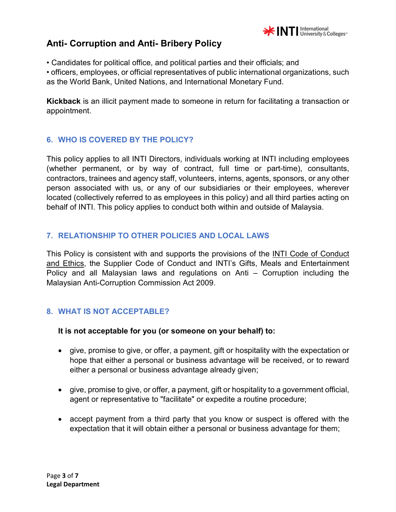

• Candidates for political office, and political parties and their officials; and

• officers, employees, or official representatives of public international organizations, such as the World Bank, United Nations, and International Monetary Fund.

**Kickback** is an illicit payment made to someone in return for facilitating a transaction or appointment.

## **6. WHO IS COVERED BY THE POLICY?**

This policy applies to all INTI Directors, individuals working at INTI including employees (whether permanent, or by way of contract, full time or part-time), consultants, contractors, trainees and agency staff, volunteers, interns, agents, sponsors, or any other person associated with us, or any of our subsidiaries or their employees, wherever located (collectively referred to as employees in this policy) and all third parties acting on behalf of INTI. This policy applies to conduct both within and outside of Malaysia.

### **7. RELATIONSHIP TO OTHER POLICIES AND LOCAL LAWS**

This Policy is consistent with and supports the provisions of the INTI Code of Conduct and Ethics, the Supplier Code of Conduct and INTI's Gifts, Meals and Entertainment Policy and all Malaysian laws and regulations on Anti – Corruption including the Malaysian Anti-Corruption Commission Act 2009.

### **8. WHAT IS NOT ACCEPTABLE?**

### **It is not acceptable for you (or someone on your behalf) to:**

- give, promise to give, or offer, a payment, gift or hospitality with the expectation or hope that either a personal or business advantage will be received, or to reward either a personal or business advantage already given;
- give, promise to give, or offer, a payment, gift or hospitality to a government official, agent or representative to "facilitate" or expedite a routine procedure;
- accept payment from a third party that you know or suspect is offered with the expectation that it will obtain either a personal or business advantage for them;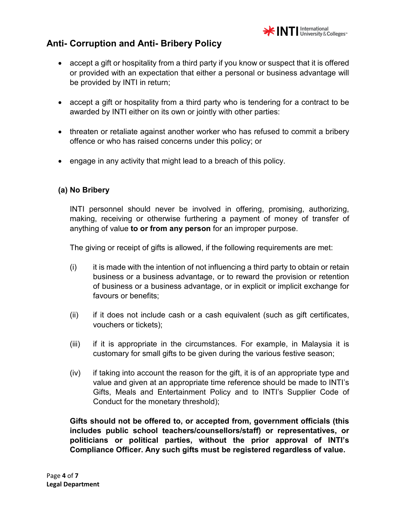

- accept a gift or hospitality from a third party if you know or suspect that it is offered or provided with an expectation that either a personal or business advantage will be provided by INTI in return;
- accept a gift or hospitality from a third party who is tendering for a contract to be awarded by INTI either on its own or jointly with other parties:
- threaten or retaliate against another worker who has refused to commit a bribery offence or who has raised concerns under this policy; or
- engage in any activity that might lead to a breach of this policy.

### **(a) No Bribery**

INTI personnel should never be involved in offering, promising, authorizing, making, receiving or otherwise furthering a payment of money of transfer of anything of value **to or from any person** for an improper purpose.

The giving or receipt of gifts is allowed, if the following requirements are met:

- $(i)$  it is made with the intention of not influencing a third party to obtain or retain business or a business advantage, or to reward the provision or retention of business or a business advantage, or in explicit or implicit exchange for favours or benefits;
- (ii) if it does not include cash or a cash equivalent (such as gift certificates, vouchers or tickets);
- (iii) if it is appropriate in the circumstances. For example, in Malaysia it is customary for small gifts to be given during the various festive season;
- (iv) if taking into account the reason for the gift, it is of an appropriate type and value and given at an appropriate time reference should be made to INTI's Gifts, Meals and Entertainment Policy and to INTI's Supplier Code of Conduct for the monetary threshold);

**Gifts should not be offered to, or accepted from, government officials (this includes public school teachers/counsellors/staff) or representatives, or politicians or political parties, without the prior approval of INTI's Compliance Officer. Any such gifts must be registered regardless of value.**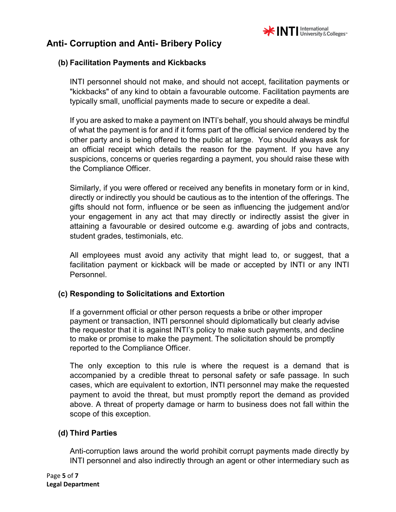

#### **(b) Facilitation Payments and Kickbacks**

INTI personnel should not make, and should not accept, facilitation payments or "kickbacks" of any kind to obtain a favourable outcome. Facilitation payments are typically small, unofficial payments made to secure or expedite a deal.

If you are asked to make a payment on INTI's behalf, you should always be mindful of what the payment is for and if it forms part of the official service rendered by the other party and is being offered to the public at large. You should always ask for an official receipt which details the reason for the payment. If you have any suspicions, concerns or queries regarding a payment, you should raise these with the Compliance Officer.

Similarly, if you were offered or received any benefits in monetary form or in kind, directly or indirectly you should be cautious as to the intention of the offerings. The gifts should not form, influence or be seen as influencing the judgement and/or your engagement in any act that may directly or indirectly assist the giver in attaining a favourable or desired outcome e.g. awarding of jobs and contracts, student grades, testimonials, etc.

All employees must avoid any activity that might lead to, or suggest, that a facilitation payment or kickback will be made or accepted by INTI or any INTI Personnel.

#### **(c) Responding to Solicitations and Extortion**

If a government official or other person requests a bribe or other improper payment or transaction, INTI personnel should diplomatically but clearly advise the requestor that it is against INTI's policy to make such payments, and decline to make or promise to make the payment. The solicitation should be promptly reported to the Compliance Officer.

The only exception to this rule is where the request is a demand that is accompanied by a credible threat to personal safety or safe passage. In such cases, which are equivalent to extortion, INTI personnel may make the requested payment to avoid the threat, but must promptly report the demand as provided above. A threat of property damage or harm to business does not fall within the scope of this exception.

### **(d) Third Parties**

Anti-corruption laws around the world prohibit corrupt payments made directly by INTI personnel and also indirectly through an agent or other intermediary such as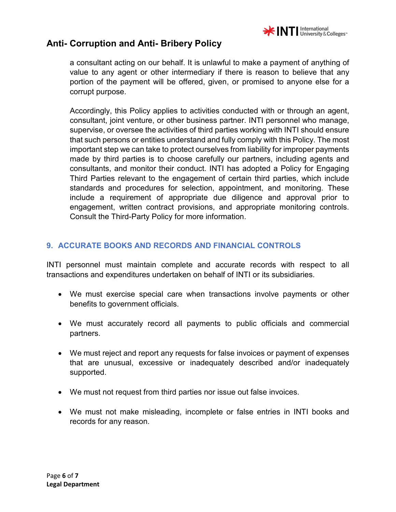

a consultant acting on our behalf. It is unlawful to make a payment of anything of value to any agent or other intermediary if there is reason to believe that any portion of the payment will be offered, given, or promised to anyone else for a corrupt purpose.

Accordingly, this Policy applies to activities conducted with or through an agent, consultant, joint venture, or other business partner. INTI personnel who manage, supervise, or oversee the activities of third parties working with INTI should ensure that such persons or entities understand and fully comply with this Policy. The most important step we can take to protect ourselves from liability for improper payments made by third parties is to choose carefully our partners, including agents and consultants, and monitor their conduct. INTI has adopted a Policy for Engaging Third Parties relevant to the engagement of certain third parties, which include standards and procedures for selection, appointment, and monitoring. These include a requirement of appropriate due diligence and approval prior to engagement, written contract provisions, and appropriate monitoring controls. Consult the Third-Party Policy for more information.

### **9. ACCURATE BOOKS AND RECORDS AND FINANCIAL CONTROLS**

INTI personnel must maintain complete and accurate records with respect to all transactions and expenditures undertaken on behalf of INTI or its subsidiaries.

- We must exercise special care when transactions involve payments or other benefits to government officials.
- We must accurately record all payments to public officials and commercial partners.
- We must reject and report any requests for false invoices or payment of expenses that are unusual, excessive or inadequately described and/or inadequately supported.
- We must not request from third parties nor issue out false invoices.
- We must not make misleading, incomplete or false entries in INTI books and records for any reason.